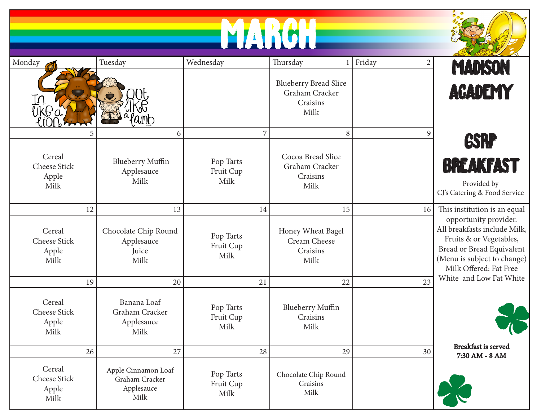|                                                      |                                                                   |                                                  | NATION                                                                         |                          |                                                                                                                                                                                                        |
|------------------------------------------------------|-------------------------------------------------------------------|--------------------------------------------------|--------------------------------------------------------------------------------|--------------------------|--------------------------------------------------------------------------------------------------------------------------------------------------------------------------------------------------------|
| Monday<br>kt a                                       | Tuesday                                                           | Wednesday                                        | Thursday<br><b>Blueberry Bread Slice</b><br>Graham Cracker<br>Craisins<br>Milk | Friday<br>$\overline{2}$ | <b>MADISON</b><br><b>ACADEMY</b>                                                                                                                                                                       |
| Cereal<br>Cheese Stick<br>Apple<br>Milk              | 6<br><b>Blueberry Muffin</b><br>Applesauce<br>Milk                | $\overline{7}$<br>Pop Tarts<br>Fruit Cup<br>Milk | 8<br>Cocoa Bread Slice<br>Graham Cracker<br>Craisins<br>Milk                   | 9                        | <b>GSRP</b><br><b>BREAKFAST</b><br>Provided by<br>CJ's Catering & Food Service                                                                                                                         |
| 12<br>Cereal<br>Cheese Stick<br>Apple<br>Milk        | 13<br>Chocolate Chip Round<br>Applesauce<br>Juice<br>Milk         | 14<br>Pop Tarts<br>Fruit Cup<br>Milk             | 15<br>Honey Wheat Bagel<br>Cream Cheese<br>Craisins<br>Milk                    | 16                       | This institution is an equal<br>opportunity provider.<br>All breakfasts include Milk,<br>Fruits & or Vegetables,<br>Bread or Bread Equivalent<br>(Menu is subject to change)<br>Milk Offered: Fat Free |
| 19<br>Cereal<br><b>Cheese Stick</b><br>Apple<br>Milk | 20<br>Banana Loaf<br>Graham Cracker<br>Applesauce<br>Milk         | 21<br>Pop Tarts<br>Fruit Cup<br>Milk             | 22<br>Blueberry Muffin<br>Craisins<br>Milk                                     | 23                       | White and Low Fat White                                                                                                                                                                                |
| 26<br>Cereal<br>Cheese Stick<br>Apple<br>Milk        | 27<br>Apple Cinnamon Loaf<br>Graham Cracker<br>Applesauce<br>Milk | 28<br>Pop Tarts<br>Fruit Cup<br>Milk             | 29<br>Chocolate Chip Round<br>Craisins<br>Milk                                 | 30                       | Breakfast is served<br>7:30 AM - 8 AM                                                                                                                                                                  |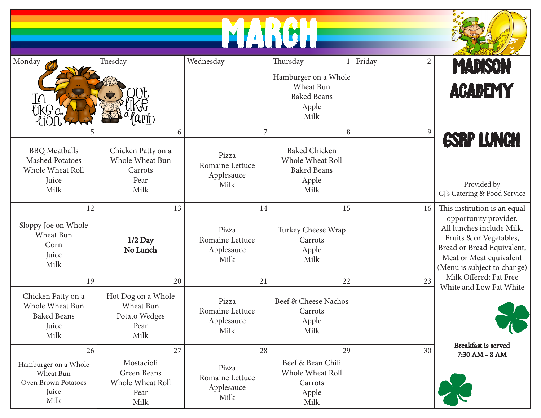|                                                                                     |                                                                       |                                                                  | LARGI                                                                                |                          |                                                                                                                                                                       |
|-------------------------------------------------------------------------------------|-----------------------------------------------------------------------|------------------------------------------------------------------|--------------------------------------------------------------------------------------|--------------------------|-----------------------------------------------------------------------------------------------------------------------------------------------------------------------|
| Monday                                                                              | Tuesday                                                               | Wednesday                                                        | Thursday<br>Hamburger on a Whole<br>Wheat Bun                                        | Friday<br>$\overline{c}$ | <b>MADISON</b><br><b>ACADEMY</b>                                                                                                                                      |
| {ik0a                                                                               | $a$ mb                                                                |                                                                  | <b>Baked Beans</b><br>Apple<br>Milk                                                  |                          |                                                                                                                                                                       |
| <b>BBQ</b> Meatballs<br><b>Mashed Potatoes</b><br>Whole Wheat Roll<br>Juice<br>Milk | 6<br>Chicken Patty on a<br>Whole Wheat Bun<br>Carrots<br>Pear<br>Milk | $\overline{7}$<br>Pizza<br>Romaine Lettuce<br>Applesauce<br>Milk | 8<br><b>Baked Chicken</b><br>Whole Wheat Roll<br><b>Baked Beans</b><br>Apple<br>Milk | $\mathfrak{g}$           | <b>GSRP LUNCH</b><br>Provided by<br>CJ's Catering & Food Service                                                                                                      |
| 12                                                                                  | 13                                                                    | 14                                                               | 15                                                                                   | 16                       | This institution is an equal                                                                                                                                          |
| Sloppy Joe on Whole<br>Wheat Bun<br>Corn<br>Juice<br>Milk                           | $1/2$ Day<br>No Lunch                                                 | Pizza<br>Romaine Lettuce<br>Applesauce<br>Milk                   | Turkey Cheese Wrap<br>Carrots<br>Apple<br>Milk                                       |                          | opportunity provider.<br>All lunches include Milk,<br>Fruits & or Vegetables,<br>Bread or Bread Equivalent,<br>Meat or Meat equivalent<br>(Menu is subject to change) |
| 19                                                                                  | 20                                                                    | 21                                                               | 22                                                                                   | 23                       | Milk Offered: Fat Free<br>White and Low Fat White                                                                                                                     |
| Chicken Patty on a<br>Whole Wheat Bun<br><b>Baked Beans</b><br>Juice<br>Milk        | Hot Dog on a Whole<br>Wheat Bun<br>Potato Wedges<br>Pear<br>Milk      | Pizza<br>Romaine Lettuce<br>Applesauce<br>Milk                   | Beef & Cheese Nachos<br>Carrots<br>Apple<br>Milk                                     |                          |                                                                                                                                                                       |
| 26                                                                                  | 27                                                                    | 28                                                               | 29                                                                                   | 30                       | Breakfast is served<br>7:30 AM - 8 AM                                                                                                                                 |
| Hamburger on a Whole<br>Wheat Bun<br>Oven Brown Potatoes<br>Juice<br>Milk           | Mostacioli<br>Green Beans<br>Whole Wheat Roll<br>Pear<br>Milk         | Pizza<br>Romaine Lettuce<br>Applesauce<br>Milk                   | Beef & Bean Chili<br>Whole Wheat Roll<br>Carrots<br>Apple<br>Milk                    |                          |                                                                                                                                                                       |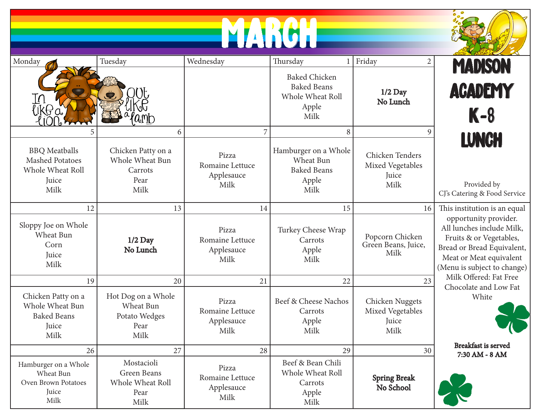| Monday                                                                              | Tuesday                                                          | Wednesday                                      | Thursday                                                                        | Friday<br>$\overline{2}$                             | <b>MADISON</b>                                                                                                                                                        |
|-------------------------------------------------------------------------------------|------------------------------------------------------------------|------------------------------------------------|---------------------------------------------------------------------------------|------------------------------------------------------|-----------------------------------------------------------------------------------------------------------------------------------------------------------------------|
| 'ikta                                                                               | amb                                                              |                                                | <b>Baked Chicken</b><br><b>Baked Beans</b><br>Whole Wheat Roll<br>Apple<br>Milk | $1/2$ Day<br>No Lunch                                | <b>ACADEMY</b><br>$K-8$                                                                                                                                               |
|                                                                                     | 6                                                                | 7                                              | 8                                                                               | 9                                                    |                                                                                                                                                                       |
| <b>BBQ</b> Meatballs<br><b>Mashed Potatoes</b><br>Whole Wheat Roll<br>Juice<br>Milk | Chicken Patty on a<br>Whole Wheat Bun<br>Carrots<br>Pear<br>Milk | Pizza<br>Romaine Lettuce<br>Applesauce<br>Milk | Hamburger on a Whole<br>Wheat Bun<br><b>Baked Beans</b><br>Apple<br>Milk        | Chicken Tenders<br>Mixed Vegetables<br>Juice<br>Milk | <b>LUNCH</b><br>Provided by<br>CJ's Catering & Food Service                                                                                                           |
| 12                                                                                  | 13                                                               | 14                                             | 15                                                                              | 16                                                   | This institution is an equal                                                                                                                                          |
| Sloppy Joe on Whole<br>Wheat Bun<br>Corn<br>Juice<br>Milk                           | $1/2$ Day<br>No Lunch                                            | Pizza<br>Romaine Lettuce<br>Applesauce<br>Milk | Turkey Cheese Wrap<br>Carrots<br>Apple<br>Milk                                  | Popcorn Chicken<br>Green Beans, Juice,<br>Milk       | opportunity provider.<br>All lunches include Milk,<br>Fruits & or Vegetables,<br>Bread or Bread Equivalent,<br>Meat or Meat equivalent<br>(Menu is subject to change) |
| 19                                                                                  | 20                                                               | 21                                             | 22                                                                              | 23                                                   | Milk Offered: Fat Free<br>Chocolate and Low Fat                                                                                                                       |
| Chicken Patty on a<br>Whole Wheat Bun<br><b>Baked Beans</b><br>Juice<br>Milk        | Hot Dog on a Whole<br>Wheat Bun<br>Potato Wedges<br>Pear<br>Milk | Pizza<br>Romaine Lettuce<br>Applesauce<br>Milk | Beef & Cheese Nachos<br>Carrots<br>Apple<br>Milk                                | Chicken Nuggets<br>Mixed Vegetables<br>Juice<br>Milk | White                                                                                                                                                                 |
| 26                                                                                  | 27                                                               | 28                                             | 29                                                                              | 30                                                   | Breakfast is served<br>7:30 AM - 8 AM                                                                                                                                 |
| Hamburger on a Whole<br>Wheat Bun<br>Oven Brown Potatoes<br>Juice<br>Milk           | Mostacioli<br>Green Beans<br>Whole Wheat Roll<br>Pear<br>Milk    | Pizza<br>Romaine Lettuce<br>Applesauce<br>Milk | Beef & Bean Chili<br>Whole Wheat Roll<br>Carrots<br>Apple<br>Milk               | <b>Spring Break</b><br>No School                     |                                                                                                                                                                       |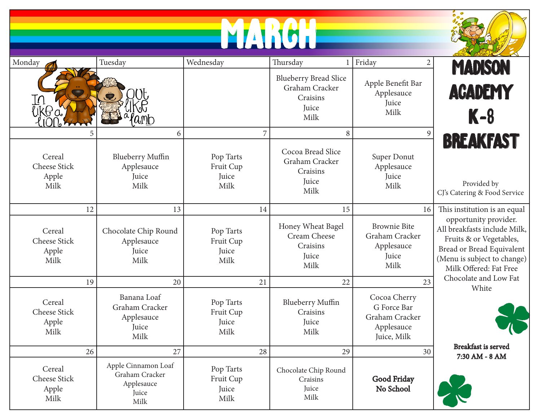## MARCH **N**



| Monday                                         | Tuesday                                                              | Wednesday                               | Thursday                                                                    | Friday<br>$\overline{2}$                                                   | <b>MADISON</b>                                                                                                                                                         |
|------------------------------------------------|----------------------------------------------------------------------|-----------------------------------------|-----------------------------------------------------------------------------|----------------------------------------------------------------------------|------------------------------------------------------------------------------------------------------------------------------------------------------------------------|
| $\bar{\pi}$<br>lik(fai                         |                                                                      |                                         | <b>Blueberry Bread Slice</b><br>Graham Cracker<br>Craisins<br>Juice<br>Milk | Apple Benefit Bar<br>Applesauce<br>Juice<br>Milk                           | <b>ACADEMY</b><br>$K-8$                                                                                                                                                |
|                                                | 6                                                                    | 7                                       | 8                                                                           | 9                                                                          |                                                                                                                                                                        |
| Cereal<br><b>Cheese Stick</b><br>Apple<br>Milk | <b>Blueberry Muffin</b><br>Applesauce<br>Juice<br>Milk               | Pop Tarts<br>Fruit Cup<br>Juice<br>Milk | Cocoa Bread Slice<br>Graham Cracker<br>Craisins<br><b>Juice</b><br>Milk     | Super Donut<br>Applesauce<br>Juice<br>Milk                                 | <b>BREAKFAST</b><br>Provided by<br>CJ's Catering & Food Service                                                                                                        |
| 12                                             | 13                                                                   | 14                                      | 15                                                                          | 16                                                                         | This institution is an equal                                                                                                                                           |
| Cereal<br>Cheese Stick<br>Apple<br>Milk        | Chocolate Chip Round<br>Applesauce<br>Juice<br>Milk                  | Pop Tarts<br>Fruit Cup<br>Juice<br>Milk | Honey Wheat Bagel<br>Cream Cheese<br>Craisins<br>Juice<br>Milk              | <b>Brownie Bite</b><br>Graham Cracker<br>Applesauce<br>Juice<br>Milk       | opportunity provider.<br>All breakfasts include Milk,<br>Fruits & or Vegetables,<br>Bread or Bread Equivalent<br>(Menu is subject to change)<br>Milk Offered: Fat Free |
| 19                                             | 20                                                                   | 21                                      | 22                                                                          | 23                                                                         | Chocolate and Low Fat<br>White                                                                                                                                         |
| Cereal<br>Cheese Stick<br>Apple<br>Milk        | Banana Loaf<br>Graham Cracker<br>Applesauce<br>Juice<br>Milk         | Pop Tarts<br>Fruit Cup<br>Juice<br>Milk | <b>Blueberry Muffin</b><br>Craisins<br>Juice<br>Milk                        | Cocoa Cherry<br>G Force Bar<br>Graham Cracker<br>Applesauce<br>Juice, Milk |                                                                                                                                                                        |
| 26                                             | 27                                                                   | 28                                      | 29                                                                          | 30                                                                         | <b>Breakfast is served</b><br>7:30 AM - 8 AM                                                                                                                           |
| Cereal<br><b>Cheese Stick</b><br>Apple<br>Milk | Apple Cinnamon Loaf<br>Graham Cracker<br>Applesauce<br>Juice<br>Milk | Pop Tarts<br>Fruit Cup<br>Juice<br>Milk | Chocolate Chip Round<br>Craisins<br>Juice<br>Milk                           | Good Friday<br>No School                                                   |                                                                                                                                                                        |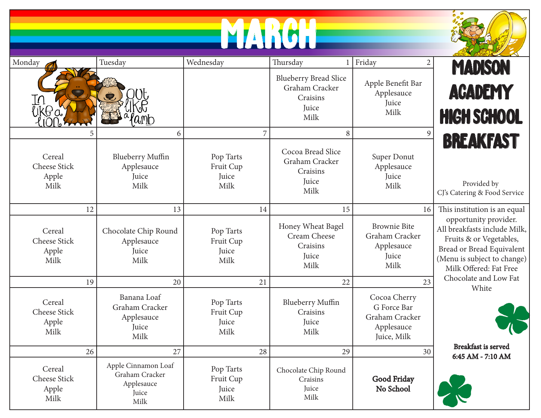## MARCH



| Monday                                      | Tuesday                                                              | Wednesday                               | Thursday                                                                    | Friday<br>$\sqrt{2}$                                                       | <b>MADISON</b>                                                                                                                                                         |
|---------------------------------------------|----------------------------------------------------------------------|-----------------------------------------|-----------------------------------------------------------------------------|----------------------------------------------------------------------------|------------------------------------------------------------------------------------------------------------------------------------------------------------------------|
| $\lfloor \ell \rfloor$<br>'ik <del>l.</del> |                                                                      |                                         | <b>Blueberry Bread Slice</b><br>Graham Cracker<br>Craisins<br>Juice<br>Milk | Apple Benefit Bar<br>Applesauce<br>Juice<br>Milk                           | <b>ACADEMY</b><br><b>HIGH SCHOOL</b>                                                                                                                                   |
|                                             | 6                                                                    | 7                                       | 8                                                                           | $\overline{9}$                                                             |                                                                                                                                                                        |
| Cereal<br>Cheese Stick<br>Apple<br>Milk     | <b>Blueberry Muffin</b><br>Applesauce<br>Juice<br>Milk               | Pop Tarts<br>Fruit Cup<br>Juice<br>Milk | Cocoa Bread Slice<br>Graham Cracker<br>Craisins<br>Juice<br>Milk            | Super Donut<br>Applesauce<br>Juice<br>Milk                                 | <b>BREAKFAST</b><br>Provided by<br>CJ's Catering & Food Service                                                                                                        |
| 12                                          | 13                                                                   | 14                                      | 15                                                                          | 16                                                                         | This institution is an equal                                                                                                                                           |
| Cereal<br>Cheese Stick<br>Apple<br>Milk     | Chocolate Chip Round<br>Applesauce<br>Juice<br>Milk                  | Pop Tarts<br>Fruit Cup<br>Juice<br>Milk | Honey Wheat Bagel<br>Cream Cheese<br>Craisins<br>Juice<br>Milk              | <b>Brownie Bite</b><br>Graham Cracker<br>Applesauce<br>Juice<br>Milk       | opportunity provider.<br>All breakfasts include Milk,<br>Fruits & or Vegetables,<br>Bread or Bread Equivalent<br>(Menu is subject to change)<br>Milk Offered: Fat Free |
| 19                                          | 20                                                                   | 21                                      | 22                                                                          | 23                                                                         | Chocolate and Low Fat<br>White                                                                                                                                         |
| Cereal<br>Cheese Stick<br>Apple<br>Milk     | Banana Loaf<br>Graham Cracker<br>Applesauce<br>Juice<br>Milk         | Pop Tarts<br>Fruit Cup<br>Juice<br>Milk | <b>Blueberry Muffin</b><br>Craisins<br>Juice<br>Milk                        | Cocoa Cherry<br>G Force Bar<br>Graham Cracker<br>Applesauce<br>Juice, Milk |                                                                                                                                                                        |
| 26                                          | 27                                                                   | 28                                      | 29                                                                          | 30                                                                         | <b>Breakfast</b> is served<br>6:45 AM - 7:10 AM                                                                                                                        |
| Cereal<br>Cheese Stick<br>Apple<br>Milk     | Apple Cinnamon Loaf<br>Graham Cracker<br>Applesauce<br>Juice<br>Milk | Pop Tarts<br>Fruit Cup<br>Juice<br>Milk | Chocolate Chip Round<br>Craisins<br>Juice<br>Milk                           | Good Friday<br>No School                                                   |                                                                                                                                                                        |